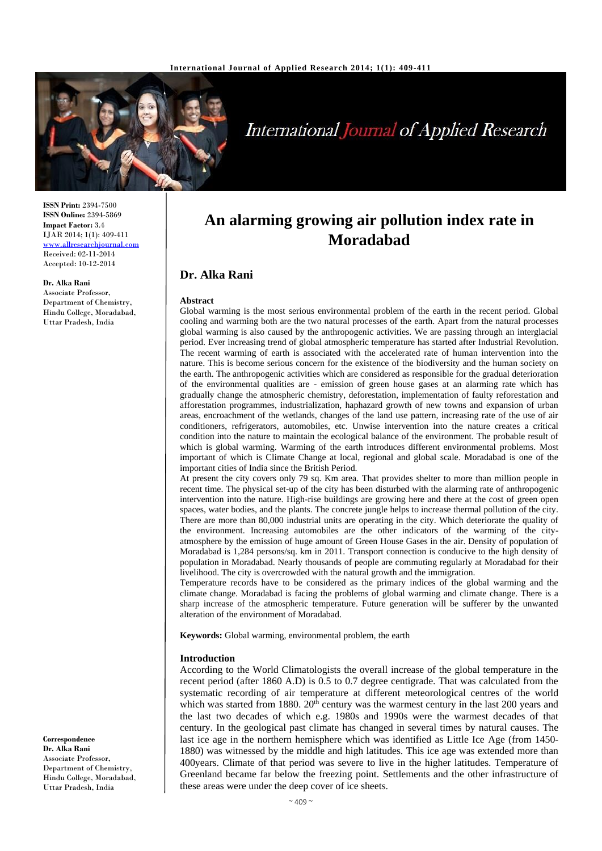

**International Journal of Applied Research** 

**ISSN Print:** 2394-7500 **ISSN Online:** 2394-5869 **Impact Factor:** 3.4 IJAR 2014; 1(1): 409-411 [www.allresearchjournal.com](http://www.allresearchjournal.com/) Received: 02-11-2014 Accepted: 10-12-2014

### **Dr. Alka Rani**

Associate Professor, Department of Chemistry, Hindu College, Moradabad, Uttar Pradesh, India

**An alarming growing air pollution index rate in Moradabad**

# **Dr. Alka Rani**

#### **Abstract**

Global warming is the most serious environmental problem of the earth in the recent period. Global cooling and warming both are the two natural processes of the earth. Apart from the natural processes global warming is also caused by the anthropogenic activities. We are passing through an interglacial period. Ever increasing trend of global atmospheric temperature has started after Industrial Revolution. The recent warming of earth is associated with the accelerated rate of human intervention into the nature. This is become serious concern for the existence of the biodiversity and the human society on the earth. The anthropogenic activities which are considered as responsible for the gradual deterioration of the environmental qualities are - emission of green house gases at an alarming rate which has gradually change the atmospheric chemistry, deforestation, implementation of faulty reforestation and afforestation programmes, industrialization, haphazard growth of new towns and expansion of urban areas, encroachment of the wetlands, changes of the land use pattern, increasing rate of the use of air conditioners, refrigerators, automobiles, etc. Unwise intervention into the nature creates a critical condition into the nature to maintain the ecological balance of the environment. The probable result of which is global warming. Warming of the earth introduces different environmental problems. Most important of which is Climate Change at local, regional and global scale. Moradabad is one of the important cities of India since the British Period.

At present the city covers only 79 sq. Km area. That provides shelter to more than million people in recent time. The physical set-up of the city has been disturbed with the alarming rate of anthropogenic intervention into the nature. High-rise buildings are growing here and there at the cost of green open spaces, water bodies, and the plants. The concrete jungle helps to increase thermal pollution of the city. There are more than 80,000 industrial units are operating in the city. Which deteriorate the quality of the environment. Increasing automobiles are the other indicators of the warming of the cityatmosphere by the emission of huge amount of Green House Gases in the air. Density of population of Moradabad is 1,284 persons/sq. km in 2011. Transport connection is conducive to the high density of population in Moradabad. Nearly thousands of people are commuting regularly at Moradabad for their livelihood. The city is overcrowded with the natural growth and the immigration.

Temperature records have to be considered as the primary indices of the global warming and the climate change. Moradabad is facing the problems of global warming and climate change. There is a sharp increase of the atmospheric temperature. Future generation will be sufferer by the unwanted alteration of the environment of Moradabad.

**Keywords:** Global warming, environmental problem, the earth

### **Introduction**

According to the World Climatologists the overall increase of the global temperature in the recent period (after 1860 A.D) is 0.5 to 0.7 degree centigrade. That was calculated from the systematic recording of air temperature at different meteorological centres of the world which was started from 1880.  $20<sup>th</sup>$  century was the warmest century in the last 200 years and the last two decades of which e.g. 1980s and 1990s were the warmest decades of that century. In the geological past climate has changed in several times by natural causes. The last ice age in the northern hemisphere which was identified as Little Ice Age (from 1450- 1880) was witnessed by the middle and high latitudes. This ice age was extended more than 400years. Climate of that period was severe to live in the higher latitudes. Temperature of Greenland became far below the freezing point. Settlements and the other infrastructure of these areas were under the deep cover of ice sheets.

**Correspondence Dr. Alka Rani** Associate Professor, Department of Chemistry, Hindu College, Moradabad, Uttar Pradesh, India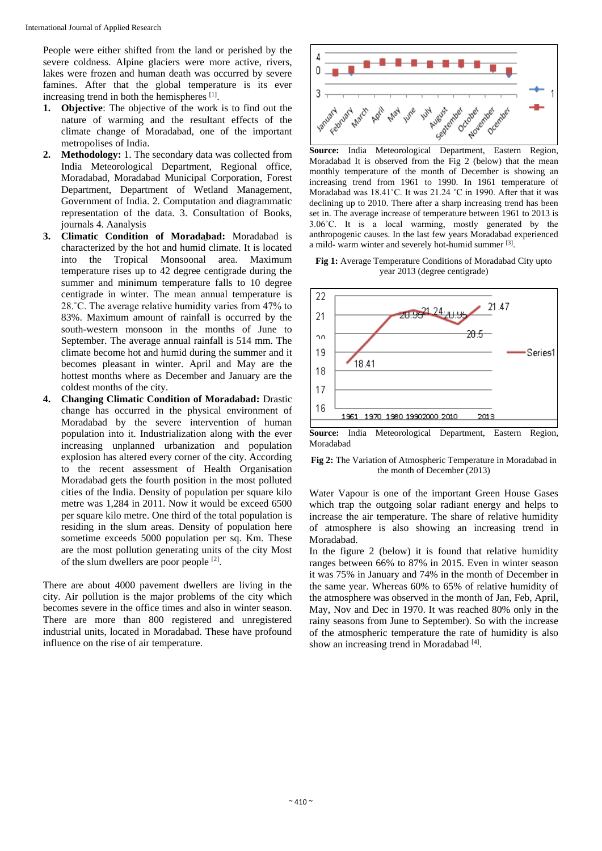People were either shifted from the land or perished by the severe coldness. Alpine glaciers were more active, rivers, lakes were frozen and human death was occurred by severe famines. After that the global temperature is its ever increasing trend in both the hemispheres [1].

- **1. Objective**: The objective of the work is to find out the nature of warming and the resultant effects of the climate change of Moradabad, one of the important metropolises of India.
- **2. Methodology:** 1. The secondary data was collected from India Meteorological Department, Regional office, Moradabad, Moradabad Municipal Corporation, Forest Department, Department of Wetland Management, Government of India. 2. Computation and diagrammatic representation of the data. 3. Consultation of Books, journals 4. Aanalysis
- **3. Climatic Condition of Moradabad:** Moradabad is characterized by the hot and humid climate. It is located into the Tropical Monsoonal area. Maximum temperature rises up to 42 degree centigrade during the summer and minimum temperature falls to 10 degree centigrade in winter. The mean annual temperature is 28.˚C. The average relative humidity varies from 47% to 83%. Maximum amount of rainfall is occurred by the south-western monsoon in the months of June to September. The average annual rainfall is 514 mm. The climate become hot and humid during the summer and it becomes pleasant in winter. April and May are the hottest months where as December and January are the coldest months of the city.
- **4. Changing Climatic Condition of Moradabad:** Drastic change has occurred in the physical environment of Moradabad by the severe intervention of human population into it. Industrialization along with the ever increasing unplanned urbanization and population explosion has altered every corner of the city. According to the recent assessment of Health Organisation Moradabad gets the fourth position in the most polluted cities of the India. Density of population per square kilo metre was 1,284 in 2011. Now it would be exceed 6500 per square kilo metre. One third of the total population is residing in the slum areas. Density of population here sometime exceeds 5000 population per sq. Km. These are the most pollution generating units of the city Most of the slum dwellers are poor people [2].

There are about 4000 pavement dwellers are living in the city. Air pollution is the major problems of the city which becomes severe in the office times and also in winter season. There are more than 800 registered and unregistered industrial units, located in Moradabad. These have profound influence on the rise of air temperature.



**Source:** India Meteorological Department, Eastern Region, Moradabad It is observed from the Fig 2 (below) that the mean monthly temperature of the month of December is showing an increasing trend from 1961 to 1990. In 1961 temperature of Moradabad was 18.41˚C. It was 21.24 ˚C in 1990. After that it was declining up to 2010. There after a sharp increasing trend has been set in. The average increase of temperature between 1961 to 2013 is 3.06˚C. It is a local warming, mostly generated by the anthropogenic causes. In the last few years Moradabad experienced a mild- warm winter and severely hot-humid summer [3].

**Fig 1:** Average Temperature Conditions of Moradabad City upto year 2013 (degree centigrade)



**Source:** India Meteorological Department, Eastern Region, Moradabad

**Fig 2:** The Variation of Atmospheric Temperature in Moradabad in the month of December (2013)

Water Vapour is one of the important Green House Gases which trap the outgoing solar radiant energy and helps to increase the air temperature. The share of relative humidity of atmosphere is also showing an increasing trend in Moradabad.

In the figure 2 (below) it is found that relative humidity ranges between 66% to 87% in 2015. Even in winter season it was 75% in January and 74% in the month of December in the same year. Whereas 60% to 65% of relative humidity of the atmosphere was observed in the month of Jan, Feb, April, May, Nov and Dec in 1970. It was reached 80% only in the rainy seasons from June to September). So with the increase of the atmospheric temperature the rate of humidity is also show an increasing trend in Moradabad [4].